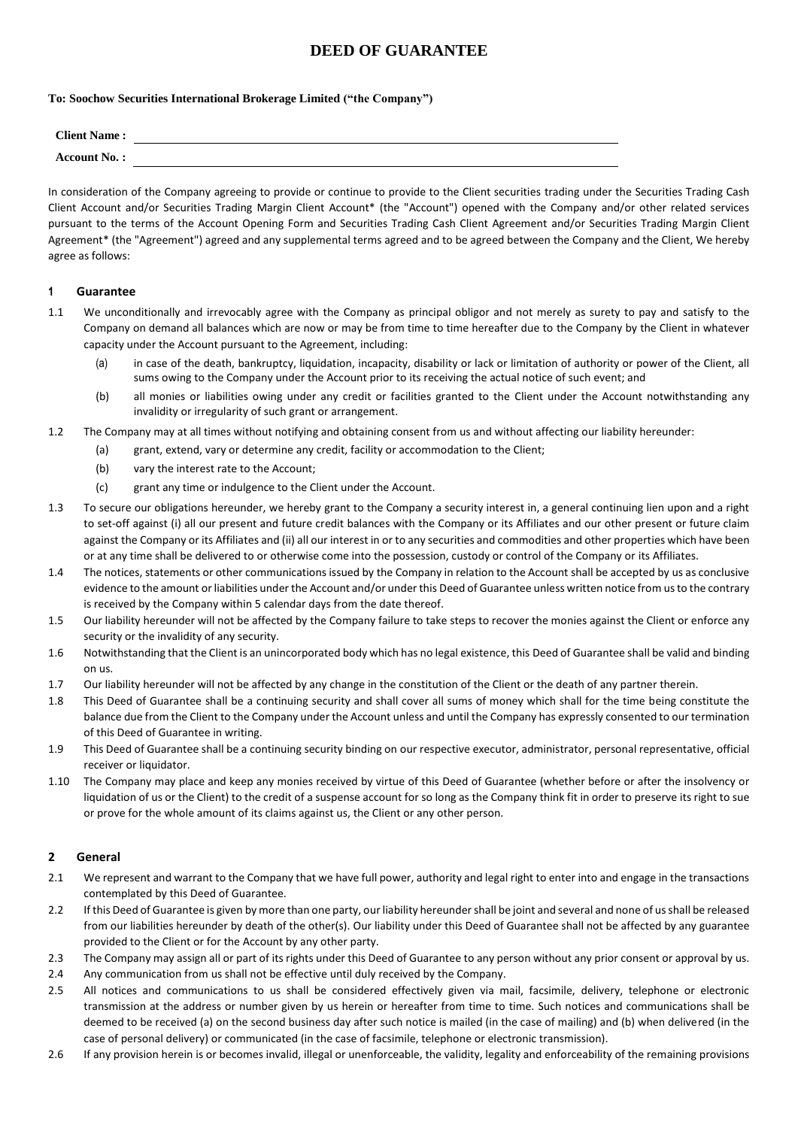## **DEED OF GUARANTEE**

## **To: Soochow Securities International Brokerage Limited ("the Company")**

| <b>Client Name:</b> |  |
|---------------------|--|
| Account No.:        |  |

In consideration of the Company agreeing to provide or continue to provide to the Client securities trading under the Securities Trading Cash Client Account and/or Securities Trading Margin Client Account\* (the "Account") opened with the Company and/or other related services pursuant to the terms of the Account Opening Form and Securities Trading Cash Client Agreement and/or Securities Trading Margin Client Agreement\* (the "Agreement") agreed and any supplemental terms agreed and to be agreed between the Company and the Client, We hereby agree as follows:

## **1 Guarantee**

- 1.1 We unconditionally and irrevocably agree with the Company as principal obligor and not merely as surety to pay and satisfy to the Company on demand all balances which are now or may be from time to time hereafter due to the Company by the Client in whatever capacity under the Account pursuant to the Agreement, including:
	- (a) in case of the death, bankruptcy, liquidation, incapacity, disability or lack or limitation of authority or power of the Client, all sums owing to the Company under the Account prior to its receiving the actual notice of such event; and
	- (b) all monies or liabilities owing under any credit or facilities granted to the Client under the Account notwithstanding any invalidity or irregularity of such grant or arrangement.
- 1.2 The Company may at all times without notifying and obtaining consent from us and without affecting our liability hereunder:
	- (a) grant, extend, vary or determine any credit, facility or accommodation to the Client;
	- (b) vary the interest rate to the Account;
	- (c) grant any time or indulgence to the Client under the Account.
- 1.3 To secure our obligations hereunder, we hereby grant to the Company a security interest in, a general continuing lien upon and a right to set-off against (i) all our present and future credit balances with the Company or its Affiliates and our other present or future claim against the Company or its Affiliates and (ii) all our interest in or to any securities and commodities and other properties which have been or at any time shall be delivered to or otherwise come into the possession, custody or control of the Company or its Affiliates.
- 1.4 The notices, statements or other communications issued by the Company in relation to the Account shall be accepted by us as conclusive evidence to the amount or liabilities under the Account and/or under this Deed of Guarantee unless written notice from usto the contrary is received by the Company within 5 calendar days from the date thereof.
- 1.5 Our liability hereunder will not be affected by the Company failure to take steps to recover the monies against the Client or enforce any security or the invalidity of any security.
- 1.6 Notwithstanding that the Client is an unincorporated body which has no legal existence, this Deed of Guarantee shall be valid and binding on us.
- 1.7 Our liability hereunder will not be affected by any change in the constitution of the Client or the death of any partner therein.
- 1.8 This Deed of Guarantee shall be a continuing security and shall cover all sums of money which shall for the time being constitute the balance due from the Client to the Company under the Account unless and until the Company has expressly consented to our termination of this Deed of Guarantee in writing.
- 1.9 This Deed of Guarantee shall be a continuing security binding on our respective executor, administrator, personal representative, official receiver or liquidator.
- 1.10 The Company may place and keep any monies received by virtue of this Deed of Guarantee (whether before or after the insolvency or liquidation of us or the Client) to the credit of a suspense account for so long as the Company think fit in order to preserve its right to sue or prove for the whole amount of its claims against us, the Client or any other person.

## **2 General**

- 2.1 We represent and warrant to the Company that we have full power, authority and legal right to enter into and engage in the transactions contemplated by this Deed of Guarantee.
- 2.2 If this Deed of Guarantee is given by more than one party, our liability hereunder shall be joint and several and none of us shall be released from our liabilities hereunder by death of the other(s). Our liability under this Deed of Guarantee shall not be affected by any guarantee provided to the Client or for the Account by any other party.
- 2.3 The Company may assign all or part of its rights under this Deed of Guarantee to any person without any prior consent or approval by us.
- 2.4 Any communication from us shall not be effective until duly received by the Company.
- 2.5 All notices and communications to us shall be considered effectively given via mail, facsimile, delivery, telephone or electronic transmission at the address or number given by us herein or hereafter from time to time. Such notices and communications shall be deemed to be received (a) on the second business day after such notice is mailed (in the case of mailing) and (b) when delivered (in the case of personal delivery) or communicated (in the case of facsimile, telephone or electronic transmission).
- 2.6 If any provision herein is or becomes invalid, illegal or unenforceable, the validity, legality and enforceability of the remaining provisions